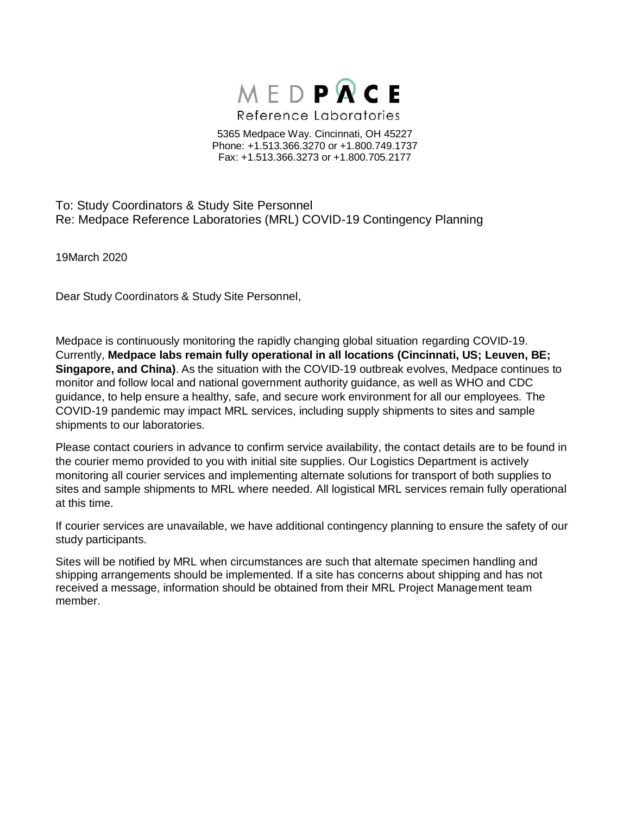

5365 Medpace Way. Cincinnati, OH 45227 Phone: +1.513.366.3270 or +1.800.749.1737 Fax: +1.513.366.3273 or +1.800.705.2177

To: Study Coordinators & Study Site Personnel Re: Medpace Reference Laboratories (MRL) COVID-19 Contingency Planning

19March 2020

Dear Study Coordinators & Study Site Personnel,

Medpace is continuously monitoring the rapidly changing global situation regarding COVID-19. Currently, **Medpace labs remain fully operational in all locations (Cincinnati, US; Leuven, BE; Singapore, and China)**. As the situation with the COVID-19 outbreak evolves, Medpace continues to monitor and follow local and national government authority guidance, as well as WHO and CDC guidance, to help ensure a healthy, safe, and secure work environment for all our employees. The COVID-19 pandemic may impact MRL services, including supply shipments to sites and sample shipments to our laboratories.

Please contact couriers in advance to confirm service availability, the contact details are to be found in the courier memo provided to you with initial site supplies. Our Logistics Department is actively monitoring all courier services and implementing alternate solutions for transport of both supplies to sites and sample shipments to MRL where needed. All logistical MRL services remain fully operational at this time.

If courier services are unavailable, we have additional contingency planning to ensure the safety of our study participants.

Sites will be notified by MRL when circumstances are such that alternate specimen handling and shipping arrangements should be implemented. If a site has concerns about shipping and has not received a message, information should be obtained from their MRL Project Management team member.